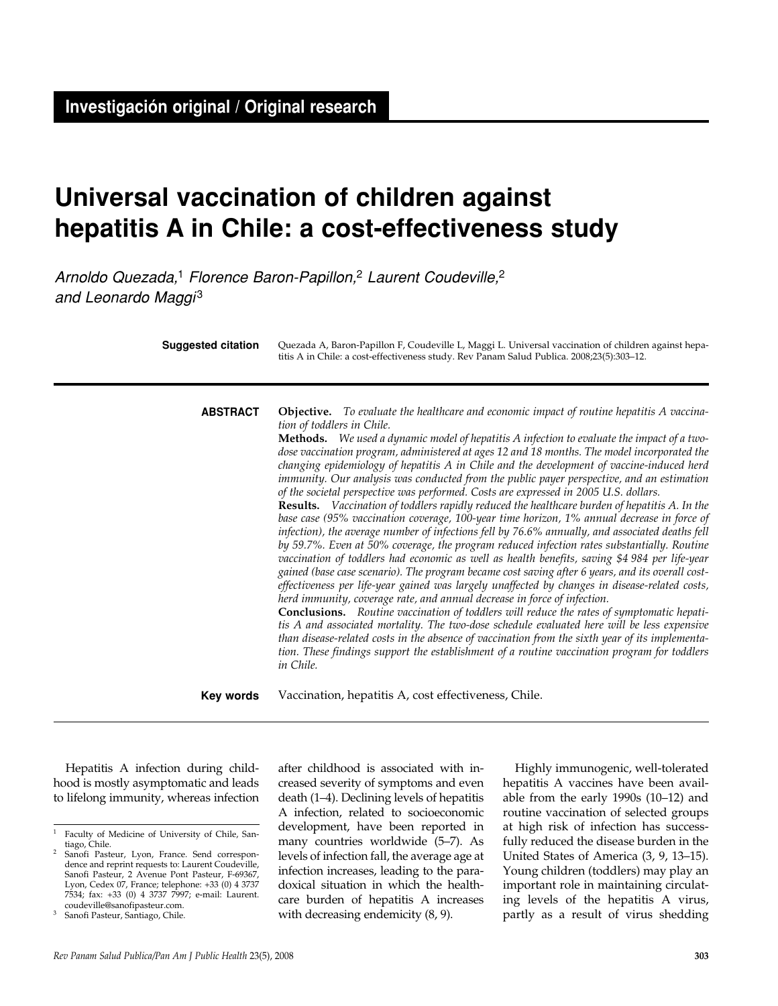# **Universal vaccination of children against hepatitis A in Chile: a cost-effectiveness study**

Arnoldo Quezada,<sup>1</sup> Florence Baron-Papillon,<sup>2</sup> Laurent Coudeville,<sup>2</sup> and Leonardo Maggi<sup>3</sup>

| <b>Suggested citation</b> | Quezada A, Baron-Papillon F, Coudeville L, Maggi L. Universal vaccination of children against hepa-<br>titis A in Chile: a cost-effectiveness study. Rev Panam Salud Publica. 2008;23(5):303-12.                                                                                                                                                                                                                                                                                                                                                                                                                                                                                                                                                                                                                                                                                                                                                                                                                                                                                                                                                                                                                                                                                                                                                                                                                                                                                                                                                                                                                                                                                                                                                                                                                    |
|---------------------------|---------------------------------------------------------------------------------------------------------------------------------------------------------------------------------------------------------------------------------------------------------------------------------------------------------------------------------------------------------------------------------------------------------------------------------------------------------------------------------------------------------------------------------------------------------------------------------------------------------------------------------------------------------------------------------------------------------------------------------------------------------------------------------------------------------------------------------------------------------------------------------------------------------------------------------------------------------------------------------------------------------------------------------------------------------------------------------------------------------------------------------------------------------------------------------------------------------------------------------------------------------------------------------------------------------------------------------------------------------------------------------------------------------------------------------------------------------------------------------------------------------------------------------------------------------------------------------------------------------------------------------------------------------------------------------------------------------------------------------------------------------------------------------------------------------------------|
| <b>ABSTRACT</b>           | <b>Objective.</b> To evaluate the healthcare and economic impact of routine hepatitis A vaccina-<br>tion of toddlers in Chile.<br><b>Methods.</b> We used a dynamic model of hepatitis A infection to evaluate the impact of a two-<br>dose vaccination program, administered at ages 12 and 18 months. The model incorporated the<br>changing epidemiology of hepatitis A in Chile and the development of vaccine-induced herd<br>immunity. Our analysis was conducted from the public payer perspective, and an estimation<br>of the societal perspective was performed. Costs are expressed in 2005 U.S. dollars.<br>Results. Vaccination of toddlers rapidly reduced the healthcare burden of hepatitis A. In the<br>base case (95% vaccination coverage, 100-year time horizon, 1% annual decrease in force of<br>infection), the average number of infections fell by 76.6% annually, and associated deaths fell<br>by 59.7%. Even at 50% coverage, the program reduced infection rates substantially. Routine<br>vaccination of toddlers had economic as well as health benefits, saving \$4 984 per life-year<br>gained (base case scenario). The program became cost saving after 6 years, and its overall cost-<br>effectiveness per life-year gained was largely unaffected by changes in disease-related costs,<br>herd immunity, coverage rate, and annual decrease in force of infection.<br>Conclusions. Routine vaccination of toddlers will reduce the rates of symptomatic hepati-<br>tis A and associated mortality. The two-dose schedule evaluated here will be less expensive<br>than disease-related costs in the absence of vaccination from the sixth year of its implementa-<br>tion. These findings support the establishment of a routine vaccination program for toddlers<br>in Chile. |
| Key words                 | Vaccination, hepatitis A, cost effectiveness, Chile.                                                                                                                                                                                                                                                                                                                                                                                                                                                                                                                                                                                                                                                                                                                                                                                                                                                                                                                                                                                                                                                                                                                                                                                                                                                                                                                                                                                                                                                                                                                                                                                                                                                                                                                                                                |

Hepatitis A infection during childhood is mostly asymptomatic and leads to lifelong immunity, whereas infection after childhood is associated with increased severity of symptoms and even death (1–4). Declining levels of hepatitis A infection, related to socioeconomic development, have been reported in many countries worldwide (5–7). As levels of infection fall, the average age at infection increases, leading to the paradoxical situation in which the healthcare burden of hepatitis A increases with decreasing endemicity (8, 9).

Highly immunogenic, well-tolerated hepatitis A vaccines have been available from the early 1990s (10–12) and routine vaccination of selected groups at high risk of infection has successfully reduced the disease burden in the United States of America (3, 9, 13–15). Young children (toddlers) may play an important role in maintaining circulating levels of the hepatitis A virus, partly as a result of virus shedding

<sup>&</sup>lt;sup>1</sup> Faculty of Medicine of University of Chile, San-<br>tiago, Chile.

Sanofi Pasteur, Lyon, France. Send correspondence and reprint requests to: Laurent Coudeville, Sanofi Pasteur, 2 Avenue Pont Pasteur, F-69367, Lyon, Cedex 07, France; telephone: +33 (0) 4 3737 7534; fax: +33 (0) 4 3737 7997; e-mail: Laurent. coudeville@sanofipasteur.com.

<sup>&</sup>lt;sup>3</sup> Sanofi Pasteur, Santiago, Chile.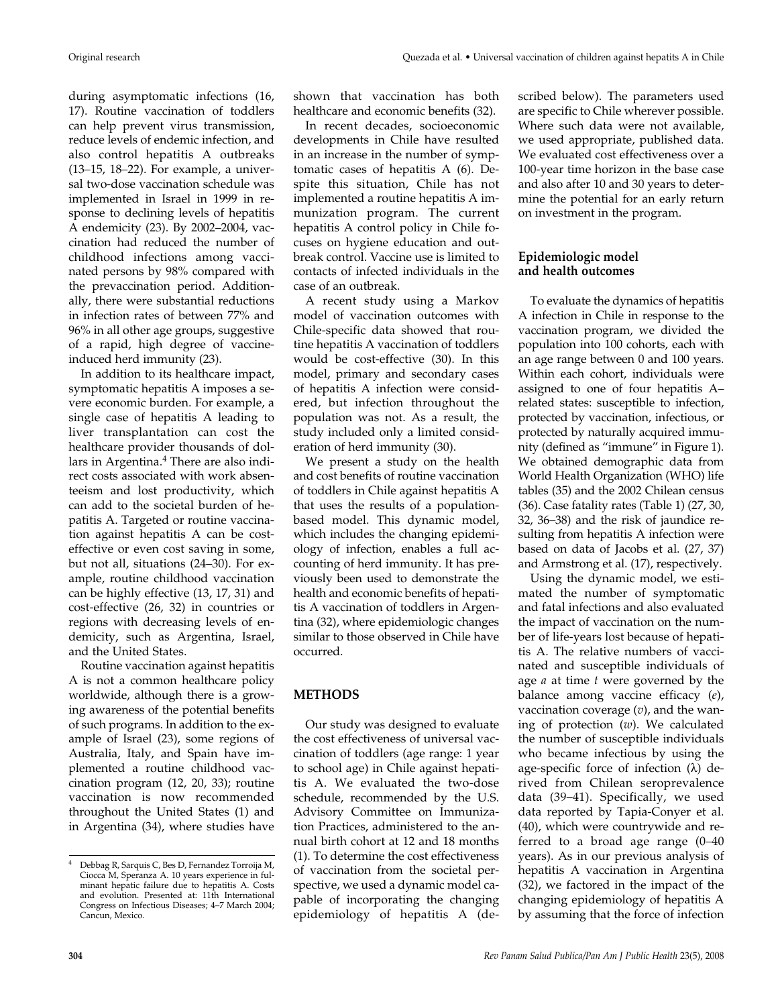during asymptomatic infections (16, 17). Routine vaccination of toddlers can help prevent virus transmission, reduce levels of endemic infection, and also control hepatitis A outbreaks (13–15, 18–22). For example, a universal two-dose vaccination schedule was implemented in Israel in 1999 in response to declining levels of hepatitis A endemicity (23). By 2002–2004, vaccination had reduced the number of childhood infections among vaccinated persons by 98% compared with the prevaccination period. Additionally, there were substantial reductions in infection rates of between 77% and 96% in all other age groups, suggestive of a rapid, high degree of vaccineinduced herd immunity (23).

In addition to its healthcare impact, symptomatic hepatitis A imposes a severe economic burden. For example, a single case of hepatitis A leading to liver transplantation can cost the healthcare provider thousands of dollars in Argentina.4 There are also indirect costs associated with work absenteeism and lost productivity, which can add to the societal burden of hepatitis A. Targeted or routine vaccination against hepatitis A can be costeffective or even cost saving in some, but not all, situations (24–30). For example, routine childhood vaccination can be highly effective (13, 17, 31) and cost-effective (26, 32) in countries or regions with decreasing levels of endemicity, such as Argentina, Israel, and the United States.

Routine vaccination against hepatitis A is not a common healthcare policy worldwide, although there is a growing awareness of the potential benefits of such programs. In addition to the example of Israel (23), some regions of Australia, Italy, and Spain have implemented a routine childhood vaccination program (12, 20, 33); routine vaccination is now recommended throughout the United States (1) and in Argentina (34), where studies have

shown that vaccination has both healthcare and economic benefits (32).

In recent decades, socioeconomic developments in Chile have resulted in an increase in the number of symptomatic cases of hepatitis A (6). Despite this situation, Chile has not implemented a routine hepatitis A immunization program. The current hepatitis A control policy in Chile focuses on hygiene education and outbreak control. Vaccine use is limited to contacts of infected individuals in the case of an outbreak.

A recent study using a Markov model of vaccination outcomes with Chile-specific data showed that routine hepatitis A vaccination of toddlers would be cost-effective (30). In this model, primary and secondary cases of hepatitis A infection were considered, but infection throughout the population was not. As a result, the study included only a limited consideration of herd immunity (30).

We present a study on the health and cost benefits of routine vaccination of toddlers in Chile against hepatitis A that uses the results of a populationbased model. This dynamic model, which includes the changing epidemiology of infection, enables a full accounting of herd immunity. It has previously been used to demonstrate the health and economic benefits of hepatitis A vaccination of toddlers in Argentina (32), where epidemiologic changes similar to those observed in Chile have occurred.

## **METHODS**

Our study was designed to evaluate the cost effectiveness of universal vaccination of toddlers (age range: 1 year to school age) in Chile against hepatitis A. We evaluated the two-dose schedule, recommended by the U.S. Advisory Committee on Immunization Practices, administered to the annual birth cohort at 12 and 18 months (1). To determine the cost effectiveness of vaccination from the societal perspective, we used a dynamic model capable of incorporating the changing epidemiology of hepatitis A (described below). The parameters used are specific to Chile wherever possible. Where such data were not available, we used appropriate, published data. We evaluated cost effectiveness over a 100-year time horizon in the base case and also after 10 and 30 years to determine the potential for an early return on investment in the program.

## **Epidemiologic model and health outcomes**

To evaluate the dynamics of hepatitis A infection in Chile in response to the vaccination program, we divided the population into 100 cohorts, each with an age range between 0 and 100 years. Within each cohort, individuals were assigned to one of four hepatitis A– related states: susceptible to infection, protected by vaccination, infectious, or protected by naturally acquired immunity (defined as "immune" in Figure 1). We obtained demographic data from World Health Organization (WHO) life tables (35) and the 2002 Chilean census (36). Case fatality rates (Table 1) (27, 30, 32, 36–38) and the risk of jaundice resulting from hepatitis A infection were based on data of Jacobs et al. (27, 37) and Armstrong et al. (17), respectively.

Using the dynamic model, we estimated the number of symptomatic and fatal infections and also evaluated the impact of vaccination on the number of life-years lost because of hepatitis A. The relative numbers of vaccinated and susceptible individuals of age *a* at time *t* were governed by the balance among vaccine efficacy (*e*), vaccination coverage (*v*), and the waning of protection (*w*). We calculated the number of susceptible individuals who became infectious by using the age-specific force of infection (λ) derived from Chilean seroprevalence data (39–41). Specifically, we used data reported by Tapia-Conyer et al. (40), which were countrywide and referred to a broad age range (0–40 years). As in our previous analysis of hepatitis A vaccination in Argentina (32), we factored in the impact of the changing epidemiology of hepatitis A by assuming that the force of infection

<sup>4</sup> Debbag R, Sarquis C, Bes D, Fernandez Torroija M, Ciocca M, Speranza A. 10 years experience in fulminant hepatic failure due to hepatitis A. Costs and evolution. Presented at: 11th International Congress on Infectious Diseases; 4–7 March 2004; Cancun, Mexico.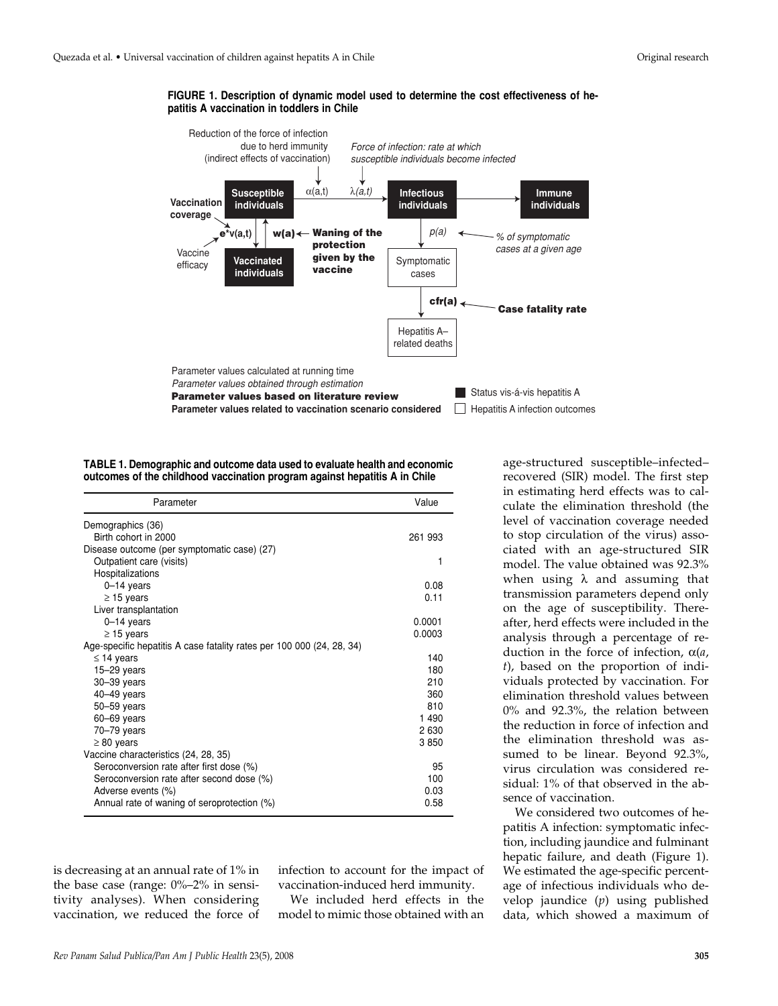**FIGURE 1. Description of dynamic model used to determine the cost effectiveness of hepatitis A vaccination in toddlers in Chile**



**TABLE 1. Demographic and outcome data used to evaluate health and economic outcomes of the childhood vaccination program against hepatitis A in Chile**

| Parameter                                                             | Value   |  |
|-----------------------------------------------------------------------|---------|--|
| Demographics (36)                                                     |         |  |
| Birth cohort in 2000                                                  | 261 993 |  |
| Disease outcome (per symptomatic case) (27)                           |         |  |
| Outpatient care (visits)                                              | 1       |  |
| Hospitalizations                                                      |         |  |
| $0-14$ years                                                          | 0.08    |  |
| $\geq$ 15 years                                                       | 0.11    |  |
| Liver transplantation                                                 |         |  |
| $0-14$ years                                                          | 0.0001  |  |
| $\geq$ 15 years                                                       | 0.0003  |  |
| Age-specific hepatitis A case fatality rates per 100 000 (24, 28, 34) |         |  |
| $\leq$ 14 years                                                       | 140     |  |
| $15-29$ years                                                         | 180     |  |
| $30 - 39$ years                                                       | 210     |  |
| $40 - 49$ years                                                       | 360     |  |
| $50 - 59$ years                                                       | 810     |  |
| $60 - 69$ years                                                       | 1 4 9 0 |  |
| $70 - 79$ years                                                       | 2630    |  |
| $\geq 80$ years                                                       | 3850    |  |
| Vaccine characteristics (24, 28, 35)                                  |         |  |
| Seroconversion rate after first dose (%)                              | 95      |  |
| Seroconversion rate after second dose (%)                             | 100     |  |
| Adverse events (%)                                                    | 0.03    |  |
| Annual rate of waning of seroprotection (%)                           | 0.58    |  |

is decreasing at an annual rate of 1% in the base case (range: 0%–2% in sensitivity analyses). When considering vaccination, we reduced the force of infection to account for the impact of vaccination-induced herd immunity.

We included herd effects in the model to mimic those obtained with an

age-structured susceptible–infected– recovered (SIR) model. The first step in estimating herd effects was to calculate the elimination threshold (the level of vaccination coverage needed to stop circulation of the virus) associated with an age-structured SIR model. The value obtained was 92.3% when using  $\lambda$  and assuming that transmission parameters depend only on the age of susceptibility. Thereafter, herd effects were included in the analysis through a percentage of reduction in the force of infection, α(*a*, *t*), based on the proportion of individuals protected by vaccination. For elimination threshold values between 0% and 92.3%, the relation between the reduction in force of infection and the elimination threshold was assumed to be linear. Beyond 92.3%, virus circulation was considered residual: 1% of that observed in the absence of vaccination.

We considered two outcomes of hepatitis A infection: symptomatic infection, including jaundice and fulminant hepatic failure, and death (Figure 1). We estimated the age-specific percentage of infectious individuals who develop jaundice (*p*) using published data, which showed a maximum of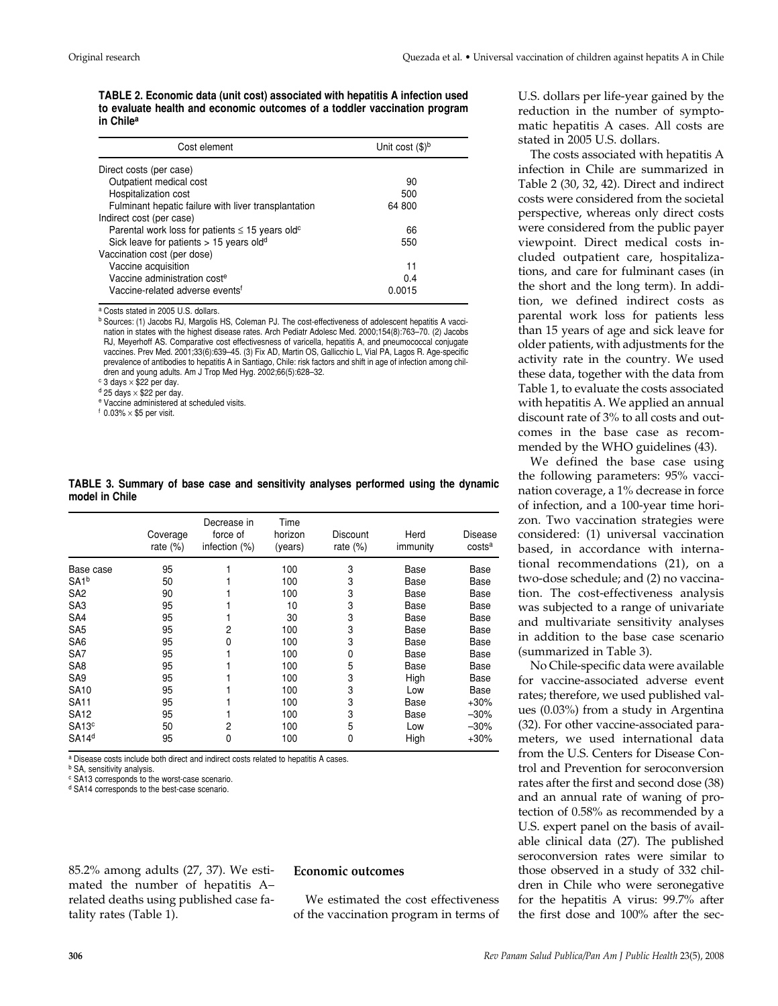**TABLE 2. Economic data (unit cost) associated with hepatitis A infection used to evaluate health and economic outcomes of a toddler vaccination program in Chile<sup>a</sup>**

| Cost element                                                     | Unit cost $(\$)^b$ |
|------------------------------------------------------------------|--------------------|
| Direct costs (per case)                                          |                    |
| Outpatient medical cost                                          | 90                 |
| Hospitalization cost                                             | 500                |
| Fulminant hepatic failure with liver transplantation             | 64 800             |
| Indirect cost (per case)                                         |                    |
| Parental work loss for patients $\leq$ 15 years old <sup>c</sup> | 66                 |
| Sick leave for patients $> 15$ years old <sup>d</sup>            | 550                |
| Vaccination cost (per dose)                                      |                    |
| Vaccine acquisition                                              | 11                 |
| Vaccine administration cost <sup>e</sup>                         | 0.4                |
| Vaccine-related adverse events <sup>f</sup>                      | 0.0015             |

<sup>a</sup> Costs stated in 2005 U.S. dollars.

b Sources: (1) Jacobs RJ, Margolis HS, Coleman PJ. The cost-effectiveness of adolescent hepatitis A vaccination in states with the highest disease rates. Arch Pediatr Adolesc Med. 2000;154(8):763–70. (2) Jacobs RJ, Meyerhoff AS. Comparative cost effectivesness of varicella, hepatitis A, and pneumococcal conjugate vaccines. Prev Med. 2001;33(6):639–45. (3) Fix AD, Martin OS, Gallicchio L, Vial PA, Lagos R. Age-specific prevalence of antibodies to hepatitis A in Santiago, Chile: risk factors and shift in age of infection among children and young adults. Am J Trop Med Hyg. 2002;66(5):628–32.

 $c$  3 days  $\times$  \$22 per day.

 $d$  25 days  $\times$  \$22 per day.

<sup>e</sup> Vaccine administered at scheduled visits.

 $f$  0.03%  $\times$  \$5 per visit.

|                   | Coverage<br>rate $(\%)$ | Decrease in<br>force of<br>infection (%) | Time<br>horizon<br>(years) | Discount<br>rate $(\%)$ | Herd<br>immunity | Disease<br>costs <sup>a</sup> |
|-------------------|-------------------------|------------------------------------------|----------------------------|-------------------------|------------------|-------------------------------|
| Base case         | 95                      |                                          | 100                        | 3                       | Base             | Base                          |
| SA1 <sup>b</sup>  | 50                      |                                          | 100                        | 3                       | Base             | Base                          |
| SA <sub>2</sub>   | 90                      |                                          | 100                        | 3                       | Base             | Base                          |
| SA <sub>3</sub>   | 95                      |                                          | 10                         | 3                       | Base             | Base                          |
| SA <sub>4</sub>   | 95                      |                                          | 30                         | 3                       | Base             | Base                          |
| SA <sub>5</sub>   | 95                      | 2                                        | 100                        | 3                       | Base             | Base                          |
| SA <sub>6</sub>   | 95                      | 0                                        | 100                        | 3                       | Base             | Base                          |
| SA7               | 95                      |                                          | 100                        | 0                       | Base             | Base                          |
| SA <sub>8</sub>   | 95                      |                                          | 100                        | 5                       | Base             | Base                          |
| SA <sub>9</sub>   | 95                      |                                          | 100                        | 3                       | High             | Base                          |
| <b>SA10</b>       | 95                      |                                          | 100                        | 3                       | Low              | Base                          |
| <b>SA11</b>       | 95                      |                                          | 100                        | 3                       | Base             | $+30%$                        |
| <b>SA12</b>       | 95                      |                                          | 100                        | 3                       | Base             | $-30%$                        |
| SA <sub>13c</sub> | 50                      | 2                                        | 100                        | 5                       | Low              | $-30%$                        |
| SA <sub>14d</sub> | 95                      | 0                                        | 100                        | 0                       | High             | $+30%$                        |

**TABLE 3. Summary of base case and sensitivity analyses performed using the dynamic model in Chile**

a Disease costs include both direct and indirect costs related to hepatitis A cases.

**b** SA, sensitivity analysis.

<sup>c</sup> SA13 corresponds to the worst-case scenario.

<sup>d</sup> SA14 corresponds to the best-case scenario.

85.2% among adults (27, 37). We estimated the number of hepatitis A– related deaths using published case fatality rates (Table 1).

## **Economic outcomes**

We estimated the cost effectiveness of the vaccination program in terms of U.S. dollars per life-year gained by the reduction in the number of symptomatic hepatitis A cases. All costs are stated in 2005 U.S. dollars.

The costs associated with hepatitis A infection in Chile are summarized in Table 2 (30, 32, 42). Direct and indirect costs were considered from the societal perspective, whereas only direct costs were considered from the public payer viewpoint. Direct medical costs included outpatient care, hospitalizations, and care for fulminant cases (in the short and the long term). In addition, we defined indirect costs as parental work loss for patients less than 15 years of age and sick leave for older patients, with adjustments for the activity rate in the country. We used these data, together with the data from Table 1, to evaluate the costs associated with hepatitis A. We applied an annual discount rate of 3% to all costs and outcomes in the base case as recommended by the WHO guidelines (43).

We defined the base case using the following parameters: 95% vaccination coverage, a 1% decrease in force of infection, and a 100-year time horizon. Two vaccination strategies were considered: (1) universal vaccination based, in accordance with international recommendations (21), on a two-dose schedule; and (2) no vaccination. The cost-effectiveness analysis was subjected to a range of univariate and multivariate sensitivity analyses in addition to the base case scenario (summarized in Table 3).

No Chile-specific data were available for vaccine-associated adverse event rates; therefore, we used published values (0.03%) from a study in Argentina (32). For other vaccine-associated parameters, we used international data from the U.S. Centers for Disease Control and Prevention for seroconversion rates after the first and second dose (38) and an annual rate of waning of protection of 0.58% as recommended by a U.S. expert panel on the basis of available clinical data (27). The published seroconversion rates were similar to those observed in a study of 332 children in Chile who were seronegative for the hepatitis A virus: 99.7% after the first dose and 100% after the sec-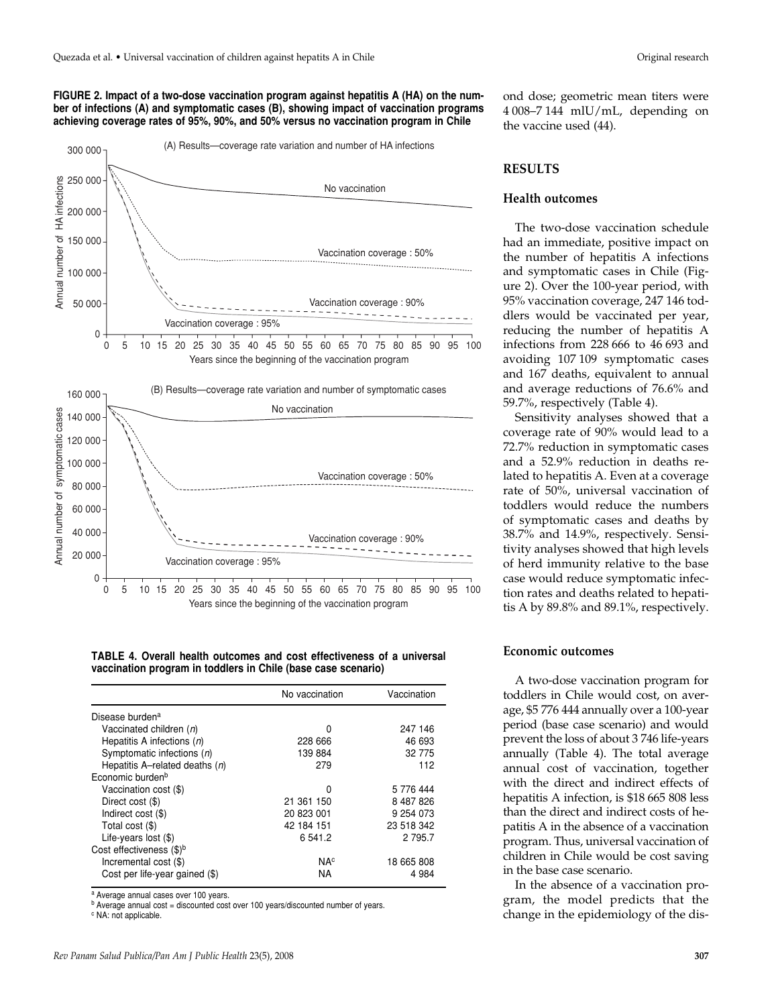#### **FIGURE 2. Impact of a two-dose vaccination program against hepatitis A (HA) on the number of infections (A) and symptomatic cases (B), showing impact of vaccination programs achieving coverage rates of 95%, 90%, and 50% versus no vaccination program in Chile**



**TABLE 4. Overall health outcomes and cost effectiveness of a universal vaccination program in toddlers in Chile (base case scenario)**

|                                  | No vaccination        | Vaccination |
|----------------------------------|-----------------------|-------------|
| Disease burden <sup>a</sup>      |                       |             |
| Vaccinated children (n)          | 0                     | 247 146     |
| Hepatitis A infections $(n)$     | 228 666               | 46 693      |
| Symptomatic infections $(n)$     | 139884                | 32 775      |
| Hepatitis A–related deaths $(n)$ | 279                   | 112         |
| Economic burden <sup>b</sup>     |                       |             |
| Vaccination cost (\$)            | 0                     | 5 776 444   |
| Direct cost (\$)                 | 21 361 150            | 8 487 826   |
| Indirect cost (\$)               | 20 823 001            | 9 254 073   |
| Total cost (\$)                  | 42 184 151            | 23 518 342  |
| Life-years lost $(\$)$           | 6 541.2               | 2 7 9 5.7   |
| Cost effectiveness $(\$)^b$      |                       |             |
| Incremental cost (\$)            | <b>NA<sup>c</sup></b> | 18 665 808  |
| Cost per life-year gained (\$)   | <b>NA</b>             | 4984        |

<sup>a</sup> Average annual cases over 100 years.

 $<sup>b</sup>$  Average annual cost = discounted cost over 100 years/discounted number of years.</sup>

<sup>c</sup> NA: not applicable.

ond dose; geometric mean titers were 4 008–7 144 mlU/mL, depending on the vaccine used (44).

## **RESULTS**

### **Health outcomes**

The two-dose vaccination schedule had an immediate, positive impact on the number of hepatitis A infections and symptomatic cases in Chile (Figure 2). Over the 100-year period, with 95% vaccination coverage, 247 146 toddlers would be vaccinated per year, reducing the number of hepatitis A infections from 228 666 to 46 693 and avoiding 107 109 symptomatic cases and 167 deaths, equivalent to annual and average reductions of 76.6% and 59.7%, respectively (Table 4).

Sensitivity analyses showed that a coverage rate of 90% would lead to a 72.7% reduction in symptomatic cases and a 52.9% reduction in deaths related to hepatitis A. Even at a coverage rate of 50%, universal vaccination of toddlers would reduce the numbers of symptomatic cases and deaths by 38.7% and 14.9%, respectively. Sensitivity analyses showed that high levels of herd immunity relative to the base case would reduce symptomatic infection rates and deaths related to hepatitis A by 89.8% and 89.1%, respectively.

## **Economic outcomes**

A two-dose vaccination program for toddlers in Chile would cost, on average, \$5 776 444 annually over a 100-year period (base case scenario) and would prevent the loss of about 3 746 life-years annually (Table 4). The total average annual cost of vaccination, together with the direct and indirect effects of hepatitis A infection, is \$18 665 808 less than the direct and indirect costs of hepatitis A in the absence of a vaccination program. Thus, universal vaccination of children in Chile would be cost saving in the base case scenario.

In the absence of a vaccination program, the model predicts that the change in the epidemiology of the dis-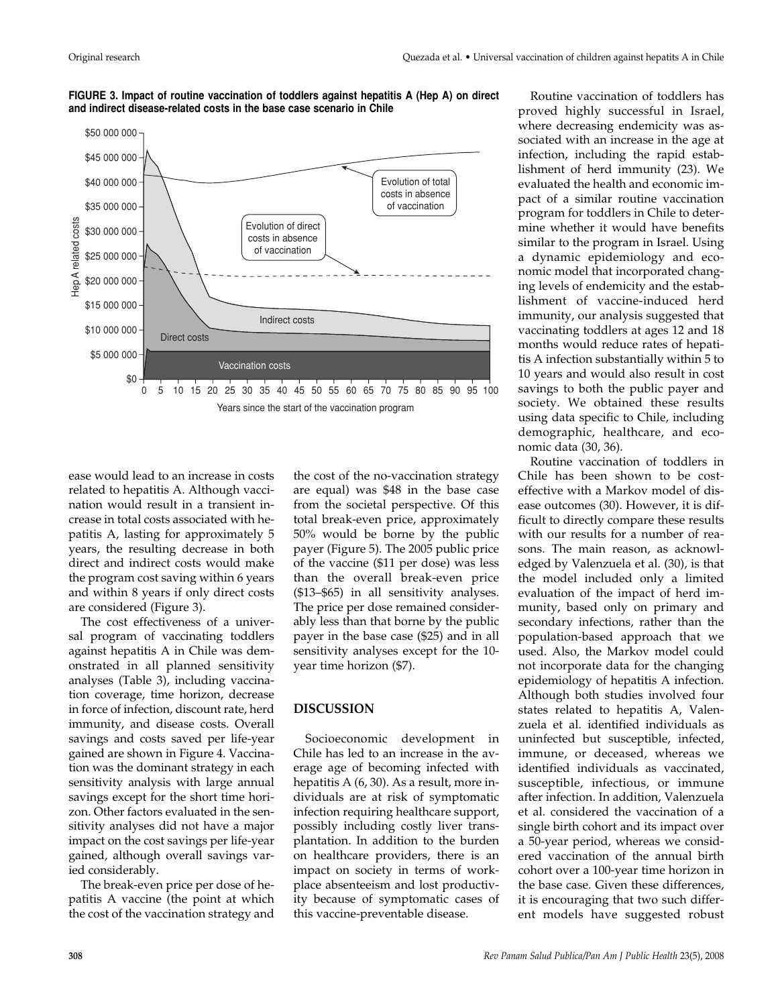

**FIGURE 3. Impact of routine vaccination of toddlers against hepatitis A (Hep A) on direct and indirect disease-related costs in the base case scenario in Chile**

ease would lead to an increase in costs related to hepatitis A. Although vaccination would result in a transient increase in total costs associated with hepatitis A, lasting for approximately 5 years, the resulting decrease in both direct and indirect costs would make the program cost saving within 6 years and within 8 years if only direct costs are considered (Figure 3).

The cost effectiveness of a universal program of vaccinating toddlers against hepatitis A in Chile was demonstrated in all planned sensitivity analyses (Table 3), including vaccination coverage, time horizon, decrease in force of infection, discount rate, herd immunity, and disease costs. Overall savings and costs saved per life-year gained are shown in Figure 4. Vaccination was the dominant strategy in each sensitivity analysis with large annual savings except for the short time horizon. Other factors evaluated in the sensitivity analyses did not have a major impact on the cost savings per life-year gained, although overall savings varied considerably.

The break-even price per dose of hepatitis A vaccine (the point at which the cost of the vaccination strategy and

the cost of the no-vaccination strategy are equal) was \$48 in the base case from the societal perspective. Of this total break-even price, approximately 50% would be borne by the public payer (Figure 5). The 2005 public price of the vaccine (\$11 per dose) was less than the overall break-even price (\$13–\$65) in all sensitivity analyses. The price per dose remained considerably less than that borne by the public payer in the base case (\$25) and in all sensitivity analyses except for the 10 year time horizon (\$7).

## **DISCUSSION**

Socioeconomic development in Chile has led to an increase in the average age of becoming infected with hepatitis A (6, 30). As a result, more individuals are at risk of symptomatic infection requiring healthcare support, possibly including costly liver transplantation. In addition to the burden on healthcare providers, there is an impact on society in terms of workplace absenteeism and lost productivity because of symptomatic cases of this vaccine-preventable disease.

Routine vaccination of toddlers has proved highly successful in Israel, where decreasing endemicity was associated with an increase in the age at infection, including the rapid establishment of herd immunity (23). We evaluated the health and economic impact of a similar routine vaccination program for toddlers in Chile to determine whether it would have benefits similar to the program in Israel. Using a dynamic epidemiology and economic model that incorporated changing levels of endemicity and the establishment of vaccine-induced herd immunity, our analysis suggested that vaccinating toddlers at ages 12 and 18 months would reduce rates of hepatitis A infection substantially within 5 to 10 years and would also result in cost savings to both the public payer and society. We obtained these results using data specific to Chile, including demographic, healthcare, and economic data (30, 36).

Routine vaccination of toddlers in Chile has been shown to be costeffective with a Markov model of disease outcomes (30). However, it is difficult to directly compare these results with our results for a number of reasons. The main reason, as acknowledged by Valenzuela et al. (30), is that the model included only a limited evaluation of the impact of herd immunity, based only on primary and secondary infections, rather than the population-based approach that we used. Also, the Markov model could not incorporate data for the changing epidemiology of hepatitis A infection. Although both studies involved four states related to hepatitis A, Valenzuela et al. identified individuals as uninfected but susceptible, infected, immune, or deceased, whereas we identified individuals as vaccinated, susceptible, infectious, or immune after infection. In addition, Valenzuela et al. considered the vaccination of a single birth cohort and its impact over a 50-year period, whereas we considered vaccination of the annual birth cohort over a 100-year time horizon in the base case. Given these differences, it is encouraging that two such different models have suggested robust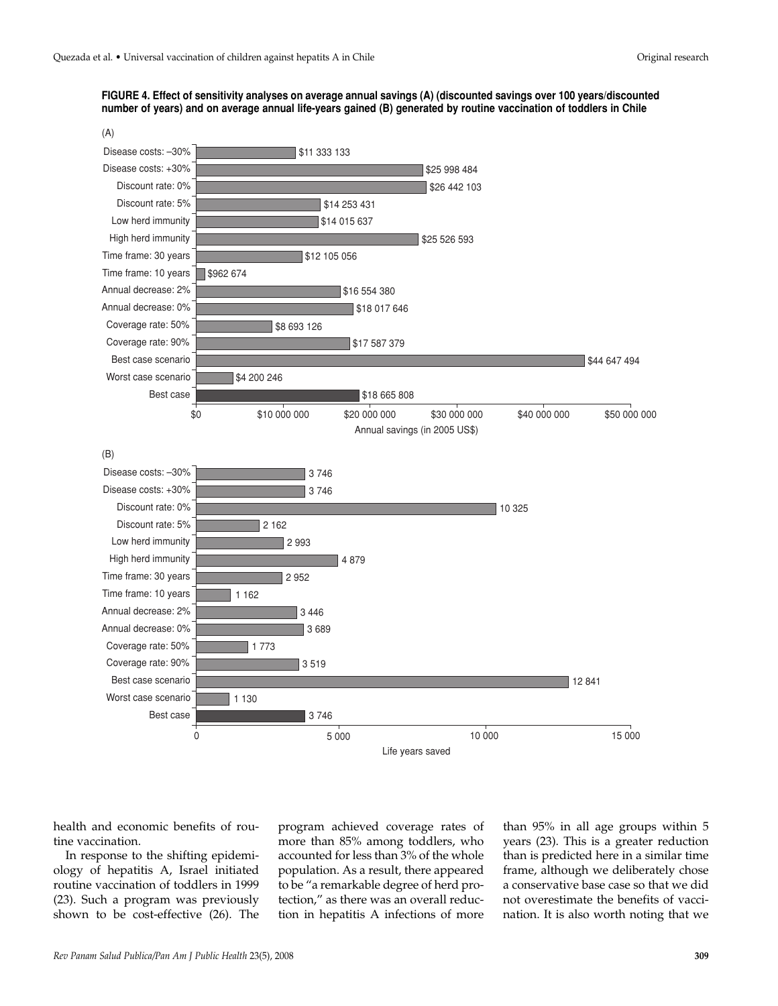



health and economic benefits of routine vaccination.

In response to the shifting epidemiology of hepatitis A, Israel initiated routine vaccination of toddlers in 1999 (23). Such a program was previously shown to be cost-effective (26). The program achieved coverage rates of more than 85% among toddlers, who accounted for less than 3% of the whole population. As a result, there appeared to be "a remarkable degree of herd protection," as there was an overall reduction in hepatitis A infections of more

than 95% in all age groups within 5 years (23). This is a greater reduction than is predicted here in a similar time frame, although we deliberately chose a conservative base case so that we did not overestimate the benefits of vaccination. It is also worth noting that we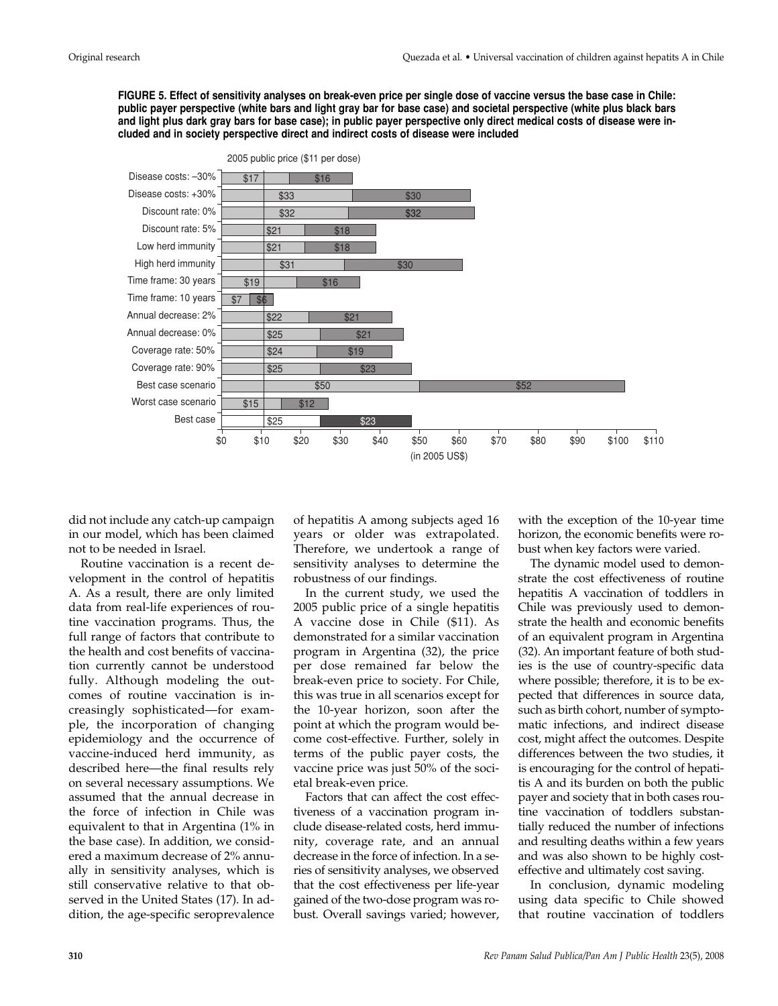**FIGURE 5. Effect of sensitivity analyses on break-even price per single dose of vaccine versus the base case in Chile: public payer perspective (white bars and light gray bar for base case) and societal perspective (white plus black bars and light plus dark gray bars for base case); in public payer perspective only direct medical costs of disease were included and in society perspective direct and indirect costs of disease were included**



did not include any catch-up campaign in our model, which has been claimed not to be needed in Israel.

Routine vaccination is a recent development in the control of hepatitis A. As a result, there are only limited data from real-life experiences of routine vaccination programs. Thus, the full range of factors that contribute to the health and cost benefits of vaccination currently cannot be understood fully. Although modeling the outcomes of routine vaccination is increasingly sophisticated—for example, the incorporation of changing epidemiology and the occurrence of vaccine-induced herd immunity, as described here—the final results rely on several necessary assumptions. We assumed that the annual decrease in the force of infection in Chile was equivalent to that in Argentina (1% in the base case). In addition, we considered a maximum decrease of 2% annually in sensitivity analyses, which is still conservative relative to that observed in the United States (17). In addition, the age-specific seroprevalence

of hepatitis A among subjects aged 16 years or older was extrapolated. Therefore, we undertook a range of sensitivity analyses to determine the robustness of our findings.

In the current study, we used the 2005 public price of a single hepatitis A vaccine dose in Chile (\$11). As demonstrated for a similar vaccination program in Argentina (32), the price per dose remained far below the break-even price to society. For Chile, this was true in all scenarios except for the 10-year horizon, soon after the point at which the program would become cost-effective. Further, solely in terms of the public payer costs, the vaccine price was just 50% of the societal break-even price.

Factors that can affect the cost effectiveness of a vaccination program include disease-related costs, herd immunity, coverage rate, and an annual decrease in the force of infection. In a series of sensitivity analyses, we observed that the cost effectiveness per life-year gained of the two-dose program was robust. Overall savings varied; however,

with the exception of the 10-year time horizon, the economic benefits were robust when key factors were varied.

The dynamic model used to demonstrate the cost effectiveness of routine hepatitis A vaccination of toddlers in Chile was previously used to demonstrate the health and economic benefits of an equivalent program in Argentina (32). An important feature of both studies is the use of country-specific data where possible; therefore, it is to be expected that differences in source data, such as birth cohort, number of symptomatic infections, and indirect disease cost, might affect the outcomes. Despite differences between the two studies, it is encouraging for the control of hepatitis A and its burden on both the public payer and society that in both cases routine vaccination of toddlers substantially reduced the number of infections and resulting deaths within a few years and was also shown to be highly costeffective and ultimately cost saving.

In conclusion, dynamic modeling using data specific to Chile showed that routine vaccination of toddlers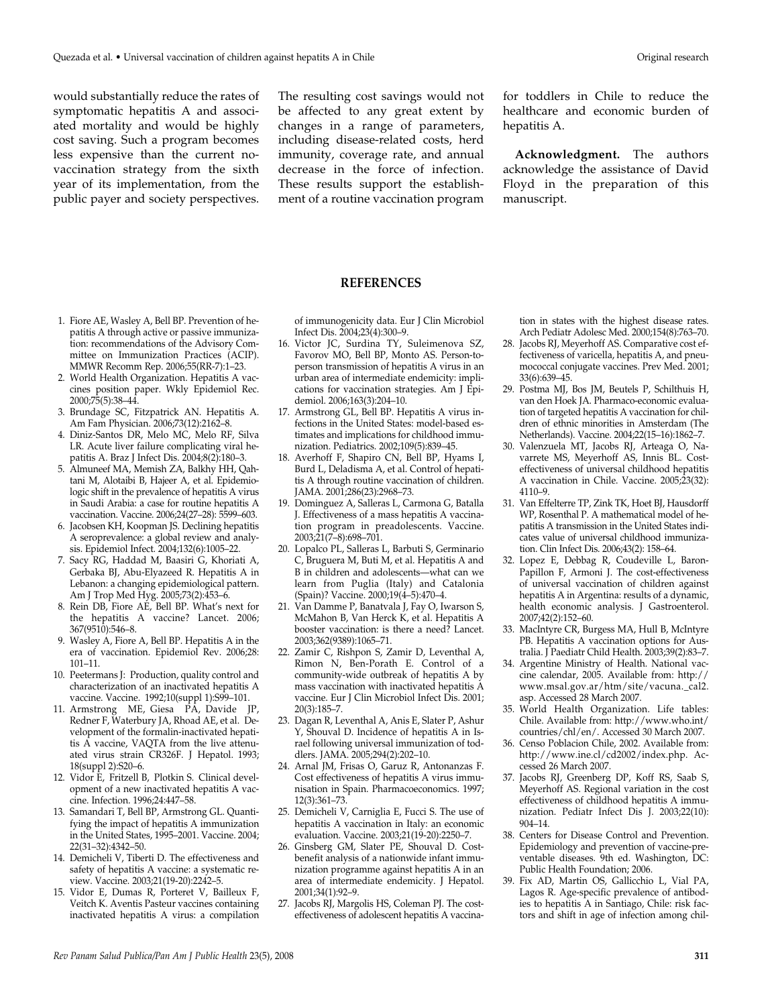would substantially reduce the rates of symptomatic hepatitis A and associated mortality and would be highly cost saving. Such a program becomes less expensive than the current novaccination strategy from the sixth year of its implementation, from the public payer and society perspectives.

The resulting cost savings would not be affected to any great extent by changes in a range of parameters, including disease-related costs, herd immunity, coverage rate, and annual decrease in the force of infection. These results support the establishment of a routine vaccination program for toddlers in Chile to reduce the healthcare and economic burden of hepatitis A.

**Acknowledgment.** The authors acknowledge the assistance of David Floyd in the preparation of this manuscript.

#### **REFERENCES**

of immunogenicity data. Eur J Clin Microbiol Infect Dis. 2004;23(4):300–9.

- 16. Victor JC, Surdina TY, Suleimenova SZ, Favorov MO, Bell BP, Monto AS. Person-toperson transmission of hepatitis A virus in an urban area of intermediate endemicity: implications for vaccination strategies. Am J Epidemiol. 2006;163(3):204–10.
- 17. Armstrong GL, Bell BP. Hepatitis A virus infections in the United States: model-based estimates and implications for childhood immunization. Pediatrics. 2002;109(5):839–45.
- 18. Averhoff F, Shapiro CN, Bell BP, Hyams I, Burd L, Deladisma A, et al. Control of hepatitis A through routine vaccination of children. JAMA. 2001;286(23):2968–73.
- 19. Dominguez A, Salleras L, Carmona G, Batalla J. Effectiveness of a mass hepatitis A vaccination program in preadolescents. Vaccine. 2003;21(7–8):698–701.
- 20. Lopalco PL, Salleras L, Barbuti S, Germinario C, Bruguera M, Buti M, et al. Hepatitis A and B in children and adolescents—what can we learn from Puglia (Italy) and Catalonia (Spain)? Vaccine. 2000;19(4–5):470–4.
- 21. Van Damme P, Banatvala J, Fay O, Iwarson S, McMahon B, Van Herck K, et al. Hepatitis A booster vaccination: is there a need? Lancet. 2003;362(9389):1065–71.
- 22. Zamir C, Rishpon S, Zamir D, Leventhal A, Rimon N, Ben-Porath E. Control of a community-wide outbreak of hepatitis A by mass vaccination with inactivated hepatitis A vaccine. Eur J Clin Microbiol Infect Dis. 2001; 20(3):185–7.
- 23. Dagan R, Leventhal A, Anis E, Slater P, Ashur Y, Shouval D. Incidence of hepatitis A in Israel following universal immunization of toddlers. JAMA. 2005;294(2):202–10.
- 24. Arnal JM, Frisas O, Garuz R, Antonanzas F. Cost effectiveness of hepatitis A virus immunisation in Spain. Pharmacoeconomics. 1997; 12(3):361–73.
- 25. Demicheli V, Carniglia E, Fucci S. The use of hepatitis A vaccination in Italy: an economic evaluation. Vaccine. 2003;21(19-20):2250–7.
- 26. Ginsberg GM, Slater PE, Shouval D. Costbenefit analysis of a nationwide infant immunization programme against hepatitis A in an area of intermediate endemicity. J Hepatol. 2001;34(1):92–9.
- 27. Jacobs RJ, Margolis HS, Coleman PJ. The costeffectiveness of adolescent hepatitis A vaccina-

tion in states with the highest disease rates. Arch Pediatr Adolesc Med. 2000;154(8):763–70.

- 28. Jacobs RJ, Meyerhoff AS. Comparative cost effectiveness of varicella, hepatitis A, and pneumococcal conjugate vaccines. Prev Med. 2001; 33(6):639–45.
- 29. Postma MJ, Bos JM, Beutels P, Schilthuis H, van den Hoek JA. Pharmaco-economic evaluation of targeted hepatitis A vaccination for children of ethnic minorities in Amsterdam (The Netherlands). Vaccine. 2004;22(15–16):1862–7.
- 30. Valenzuela MT, Jacobs RJ, Arteaga O, Navarrete MS, Meyerhoff AS, Innis BL. Costeffectiveness of universal childhood hepatitis A vaccination in Chile. Vaccine. 2005;23(32): 4110–9.
- 31. Van Effelterre TP, Zink TK, Hoet BJ, Hausdorff WP, Rosenthal P. A mathematical model of hepatitis A transmission in the United States indicates value of universal childhood immunization. Clin Infect Dis. 2006;43(2): 158–64.
- 32. Lopez E, Debbag R, Coudeville L, Baron-Papillon F, Armoni J. The cost-effectiveness of universal vaccination of children against hepatitis A in Argentina: results of a dynamic, health economic analysis. J Gastroenterol. 2007;42(2):152–60.
- 33. MacIntyre CR, Burgess MA, Hull B, McIntyre PB. Hepatitis A vaccination options for Australia. J Paediatr Child Health. 2003;39(2):83–7.
- 34. Argentine Ministry of Health. National vaccine calendar, 2005. Available from: http:// www.msal.gov.ar/htm/site/vacuna.\_cal2. asp. Accessed 28 March 2007.
- 35. World Health Organization. Life tables: Chile. Available from: http://www.who.int/ countries/chl/en/. Accessed 30 March 2007.
- 36. Censo Poblacion Chile, 2002. Available from: http://www.ine.cl/cd2002/index.php. Accessed 26 March 2007.
- 37. Jacobs RJ, Greenberg DP, Koff RS, Saab S, Meyerhoff AS. Regional variation in the cost effectiveness of childhood hepatitis A immunization. Pediatr Infect Dis J. 2003;22(10): 904–14.
- 38. Centers for Disease Control and Prevention. Epidemiology and prevention of vaccine-preventable diseases. 9th ed. Washington, DC: Public Health Foundation; 2006.
- 39. Fix AD, Martin OS, Gallicchio L, Vial PA, Lagos R. Age-specific prevalence of antibodies to hepatitis A in Santiago, Chile: risk factors and shift in age of infection among chil-

#### 1. Fiore AE, Wasley A, Bell BP. Prevention of hepatitis A through active or passive immunization: recommendations of the Advisory Committee on Immunization Practices (ACIP). MMWR Recomm Rep. 2006;55(RR-7):1–23.

- 2. World Health Organization. Hepatitis A vaccines position paper. Wkly Epidemiol Rec. 2000;75(5):38–44.
- 3. Brundage SC, Fitzpatrick AN. Hepatitis A. Am Fam Physician. 2006;73(12):2162–8.
- 4. Diniz-Santos DR, Melo MC, Melo RF, Silva LR. Acute liver failure complicating viral hepatitis A. Braz J Infect Dis. 2004;8(2):180–3.
- 5. Almuneef MA, Memish ZA, Balkhy HH, Qahtani M, Alotaibi B, Hajeer A, et al. Epidemiologic shift in the prevalence of hepatitis A virus in Saudi Arabia: a case for routine hepatitis A vaccination. Vaccine. 2006;24(27–28): 5599–603.
- 6. Jacobsen KH, Koopman JS. Declining hepatitis A seroprevalence: a global review and analysis. Epidemiol Infect. 2004;132(6):1005–22.
- 7. Sacy RG, Haddad M, Baasiri G, Khoriati A, Gerbaka BJ, Abu-Elyazeed R. Hepatitis A in Lebanon: a changing epidemiological pattern. Am J Trop Med Hyg. 2005;73(2):453–6.
- 8. Rein DB, Fiore AE, Bell BP. What's next for the hepatitis A vaccine? Lancet. 2006; 367(9510):546–8.
- 9. Wasley A, Fiore A, Bell BP. Hepatitis A in the era of vaccination. Epidemiol Rev. 2006;28: 101–11.
- 10. Peetermans J: Production, quality control and characterization of an inactivated hepatitis A vaccine. Vaccine. 1992;10(suppl 1):S99-101.
- 11. Armstrong ME, Giesa PA, Davide JP, Redner F, Waterbury JA, Rhoad AE, et al. Development of the formalin-inactivated hepatitis A vaccine, VAQTA from the live attenuated virus strain CR326F. J Hepatol. 1993; 18(suppl 2):S20–6.
- 12. Vidor E, Fritzell B, Plotkin S. Clinical development of a new inactivated hepatitis A vaccine. Infection. 1996;24:447–58.
- 13. Samandari T, Bell BP, Armstrong GL. Quantifying the impact of hepatitis A immunization in the United States, 1995–2001. Vaccine. 2004; 22(31–32):4342–50.
- 14. Demicheli V, Tiberti D. The effectiveness and safety of hepatitis A vaccine: a systematic review. Vaccine. 2003;21(19-20):2242–5.
- 15. Vidor E, Dumas R, Porteret V, Bailleux F, Veitch K. Aventis Pasteur vaccines containing inactivated hepatitis A virus: a compilation